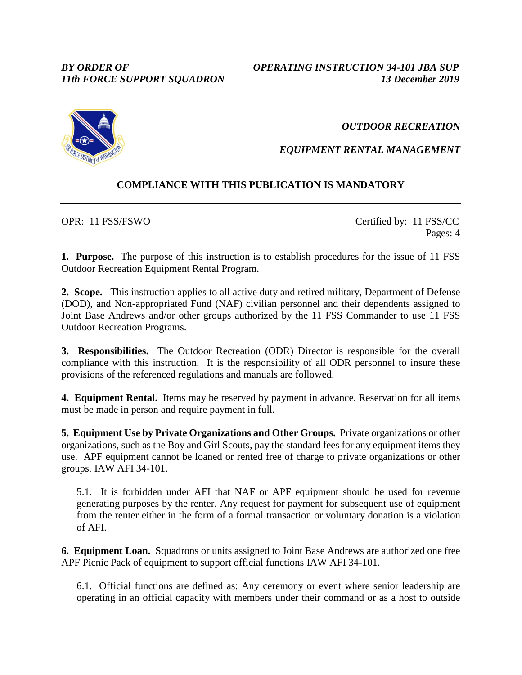*BY ORDER OF OPERATING INSTRUCTION 34-101 JBA SUP 11th FORCE SUPPORT SQUADRON 13 December 2019*

*OUTDOOR RECREATION*

*EQUIPMENT RENTAL MANAGEMENT*

## **COMPLIANCE WITH THIS PUBLICATION IS MANDATORY**

OPR: 11 FSS/FSWO Certified by: 11 FSS/CC Pages: 4

**1. Purpose.** The purpose of this instruction is to establish procedures for the issue of 11 FSS Outdoor Recreation Equipment Rental Program.

**2. Scope.** This instruction applies to all active duty and retired military, Department of Defense (DOD), and Non-appropriated Fund (NAF) civilian personnel and their dependents assigned to Joint Base Andrews and/or other groups authorized by the 11 FSS Commander to use 11 FSS Outdoor Recreation Programs.

**3. Responsibilities.** The Outdoor Recreation (ODR) Director is responsible for the overall compliance with this instruction. It is the responsibility of all ODR personnel to insure these provisions of the referenced regulations and manuals are followed.

**4. Equipment Rental.** Items may be reserved by payment in advance. Reservation for all items must be made in person and require payment in full.

**5. Equipment Use by Private Organizations and Other Groups.** Private organizations or other organizations, such as the Boy and Girl Scouts, pay the standard fees for any equipment items they use. APF equipment cannot be loaned or rented free of charge to private organizations or other groups. IAW AFI 34-101.

5.1. It is forbidden under AFI that NAF or APF equipment should be used for revenue generating purposes by the renter. Any request for payment for subsequent use of equipment from the renter either in the form of a formal transaction or voluntary donation is a violation of AFI.

**6. Equipment Loan.** Squadrons or units assigned to Joint Base Andrews are authorized one free APF Picnic Pack of equipment to support official functions IAW AFI 34-101.

6.1. Official functions are defined as: Any ceremony or event where senior leadership are operating in an official capacity with members under their command or as a host to outside

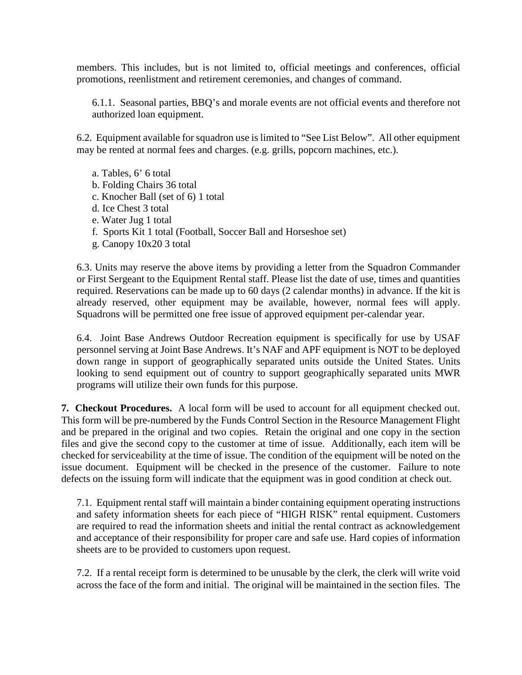members. This includes, but is not limited to, official meetings and conferences, official promotions, reenlistment and retirement ceremonies, and changes of command.

6.1.1. Seasonal parties, BBQ's and morale events are not official events and therefore not authorized loan equipment.

6.2. Equipment available for squadron use is limited to "See List Below". All other equipment may be rented at normal fees and charges. (e.g. grills, popcorn machines, etc.).

a. Tables, 6' 6 total b. Folding Chairs 36 total c. Knocher Ball (set of 6) 1 total d. Ice Chest 3 total e. Water Jug 1 total f. Sports Kit 1 total (Football, Soccer Ball and Horseshoe set) g. Canopy 10x20 3 total

6.3. Units may reserve the above items by providing a letter from the Squadron Commander or First Sergeant to the Equipment Rental staff. Please list the date of use, times and quantities required. Reservations can be made up to 60 days (2 calendar months) in advance. If the kit is already reserved, other equipment may be available, however, normal fees will apply. Squadrons will be permitted one free issue of approved equipment per-calendar year.

6.4. Joint Base Andrews Outdoor Recreation equipment is specifically for use by USAF personnel serving at Joint Base Andrews. It's NAF and APF equipment is NOT to be deployed down range in support of geographically separated units outside the United States. Units looking to send equipment out of country to support geographically separated units MWR programs will utilize their own funds for this purpose.

**7. Checkout Procedures.** A local form will be used to account for all equipment checked out. This form will be pre-numbered by the Funds Control Section in the Resource Management Flight and be prepared in the original and two copies. Retain the original and one copy in the section files and give the second copy to the customer at time of issue. Additionally, each item will be checked for serviceability at the time of issue. The condition of the equipment will be noted on the issue document. Equipment will be checked in the presence of the customer. Failure to note defects on the issuing form will indicate that the equipment was in good condition at check out.

7.1. Equipment rental staff will maintain a binder containing equipment operating instructions and safety information sheets for each piece of "HIGH RISK" rental equipment. Customers are required to read the information sheets and initial the rental contract as acknowledgement and acceptance of their responsibility for proper care and safe use. Hard copies of information sheets are to be provided to customers upon request.

7.2. If a rental receipt form is determined to be unusable by the clerk, the clerk will write void across the face of the form and initial. The original will be maintained in the section files. The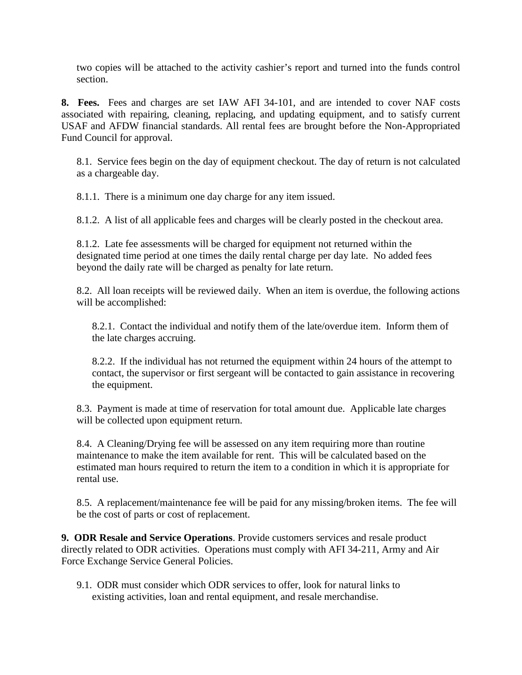two copies will be attached to the activity cashier's report and turned into the funds control section.

**8. Fees.** Fees and charges are set IAW AFI 34-101, and are intended to cover NAF costs associated with repairing, cleaning, replacing, and updating equipment, and to satisfy current USAF and AFDW financial standards. All rental fees are brought before the Non-Appropriated Fund Council for approval.

8.1. Service fees begin on the day of equipment checkout. The day of return is not calculated as a chargeable day.

8.1.1. There is a minimum one day charge for any item issued.

8.1.2. A list of all applicable fees and charges will be clearly posted in the checkout area.

8.1.2. Late fee assessments will be charged for equipment not returned within the designated time period at one times the daily rental charge per day late. No added fees beyond the daily rate will be charged as penalty for late return.

8.2. All loan receipts will be reviewed daily. When an item is overdue, the following actions will be accomplished:

8.2.1. Contact the individual and notify them of the late/overdue item. Inform them of the late charges accruing.

8.2.2. If the individual has not returned the equipment within 24 hours of the attempt to contact, the supervisor or first sergeant will be contacted to gain assistance in recovering the equipment.

8.3. Payment is made at time of reservation for total amount due. Applicable late charges will be collected upon equipment return.

8.4. A Cleaning/Drying fee will be assessed on any item requiring more than routine maintenance to make the item available for rent. This will be calculated based on the estimated man hours required to return the item to a condition in which it is appropriate for rental use.

8.5. A replacement/maintenance fee will be paid for any missing/broken items. The fee will be the cost of parts or cost of replacement.

**9. ODR Resale and Service Operations**. Provide customers services and resale product directly related to ODR activities. Operations must comply with AFI 34-211, Army and Air Force Exchange Service General Policies.

9.1. ODR must consider which ODR services to offer, look for natural links to existing activities, loan and rental equipment, and resale merchandise.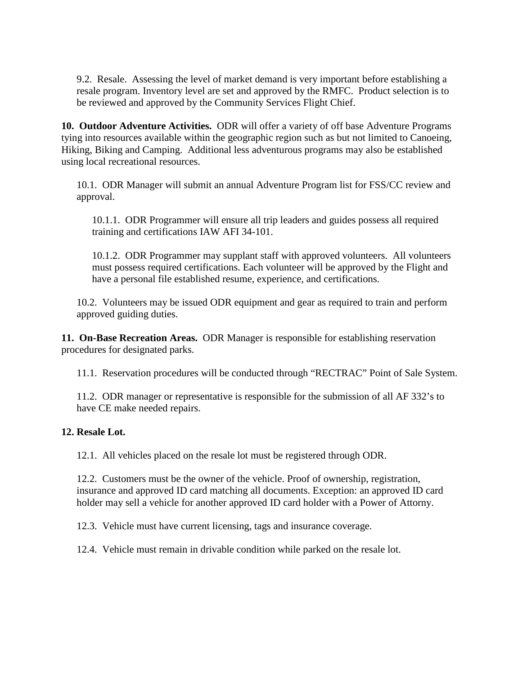9.2. Resale. Assessing the level of market demand is very important before establishing a resale program. Inventory level are set and approved by the RMFC. Product selection is to be reviewed and approved by the Community Services Flight Chief.

**10. Outdoor Adventure Activities.** ODR will offer a variety of off base Adventure Programs tying into resources available within the geographic region such as but not limited to Canoeing, Hiking, Biking and Camping. Additional less adventurous programs may also be established using local recreational resources.

10.1. ODR Manager will submit an annual Adventure Program list for FSS/CC review and approval.

10.1.1. ODR Programmer will ensure all trip leaders and guides possess all required training and certifications IAW AFI 34-101.

10.1.2. ODR Programmer may supplant staff with approved volunteers. All volunteers must possess required certifications. Each volunteer will be approved by the Flight and have a personal file established resume, experience, and certifications.

10.2. Volunteers may be issued ODR equipment and gear as required to train and perform approved guiding duties.

**11. On-Base Recreation Areas.** ODR Manager is responsible for establishing reservation procedures for designated parks.

11.1. Reservation procedures will be conducted through "RECTRAC" Point of Sale System.

11.2. ODR manager or representative is responsible for the submission of all AF 332's to have CE make needed repairs.

## **12. Resale Lot.**

12.1. All vehicles placed on the resale lot must be registered through ODR.

12.2. Customers must be the owner of the vehicle. Proof of ownership, registration, insurance and approved ID card matching all documents. Exception: an approved ID card holder may sell a vehicle for another approved ID card holder with a Power of Attorny.

12.3. Vehicle must have current licensing, tags and insurance coverage.

12.4. Vehicle must remain in drivable condition while parked on the resale lot.